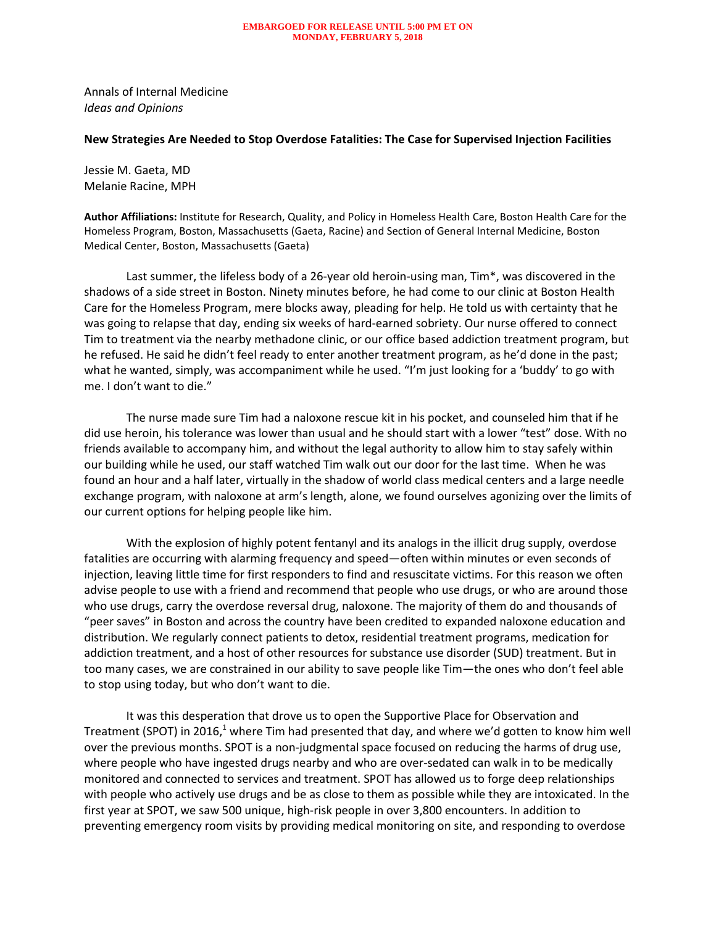## **EMBARGOED FOR RELEASE UNTIL 5:00 PM ET ON MONDAY, FEBRUARY 5, 2018**

Annals of Internal Medicine *Ideas and Opinions* 

## **New Strategies Are Needed to Stop Overdose Fatalities: The Case for Supervised Injection Facilities**

Jessie M. Gaeta, MD Melanie Racine, MPH

**Author Affiliations:** Institute for Research, Quality, and Policy in Homeless Health Care, Boston Health Care for the Homeless Program, Boston, Massachusetts (Gaeta, Racine) and Section of General Internal Medicine, Boston Medical Center, Boston, Massachusetts (Gaeta)

Last summer, the lifeless body of a 26-year old heroin-using man, Tim\*, was discovered in the shadows of a side street in Boston. Ninety minutes before, he had come to our clinic at Boston Health Care for the Homeless Program, mere blocks away, pleading for help. He told us with certainty that he was going to relapse that day, ending six weeks of hard-earned sobriety. Our nurse offered to connect Tim to treatment via the nearby methadone clinic, or our office based addiction treatment program, but he refused. He said he didn't feel ready to enter another treatment program, as he'd done in the past; what he wanted, simply, was accompaniment while he used. "I'm just looking for a 'buddy' to go with me. I don't want to die."

The nurse made sure Tim had a naloxone rescue kit in his pocket, and counseled him that if he did use heroin, his tolerance was lower than usual and he should start with a lower "test" dose. With no friends available to accompany him, and without the legal authority to allow him to stay safely within our building while he used, our staff watched Tim walk out our door for the last time. When he was found an hour and a half later, virtually in the shadow of world class medical centers and a large needle exchange program, with naloxone at arm's length, alone, we found ourselves agonizing over the limits of our current options for helping people like him.

With the explosion of highly potent fentanyl and its analogs in the illicit drug supply, overdose fatalities are occurring with alarming frequency and speed—often within minutes or even seconds of injection, leaving little time for first responders to find and resuscitate victims. For this reason we often advise people to use with a friend and recommend that people who use drugs, or who are around those who use drugs, carry the overdose reversal drug, naloxone. The majority of them do and thousands of "peer saves" in Boston and across the country have been credited to expanded naloxone education and distribution. We regularly connect patients to detox, residential treatment programs, medication for addiction treatment, and a host of other resources for substance use disorder (SUD) treatment. But in too many cases, we are constrained in our ability to save people like Tim—the ones who don't feel able to stop using today, but who don't want to die.

It was this desperation that drove us to open the Supportive Place for Observation and Treatment (SPOT) in 2016,<sup>1</sup> where Tim had presented that day, and where we'd gotten to know him well over the previous months. SPOT is a non-judgmental space focused on reducing the harms of drug use, where people who have ingested drugs nearby and who are over-sedated can walk in to be medically monitored and connected to services and treatment. SPOT has allowed us to forge deep relationships with people who actively use drugs and be as close to them as possible while they are intoxicated. In the first year at SPOT, we saw 500 unique, high-risk people in over 3,800 encounters. In addition to preventing emergency room visits by providing medical monitoring on site, and responding to overdose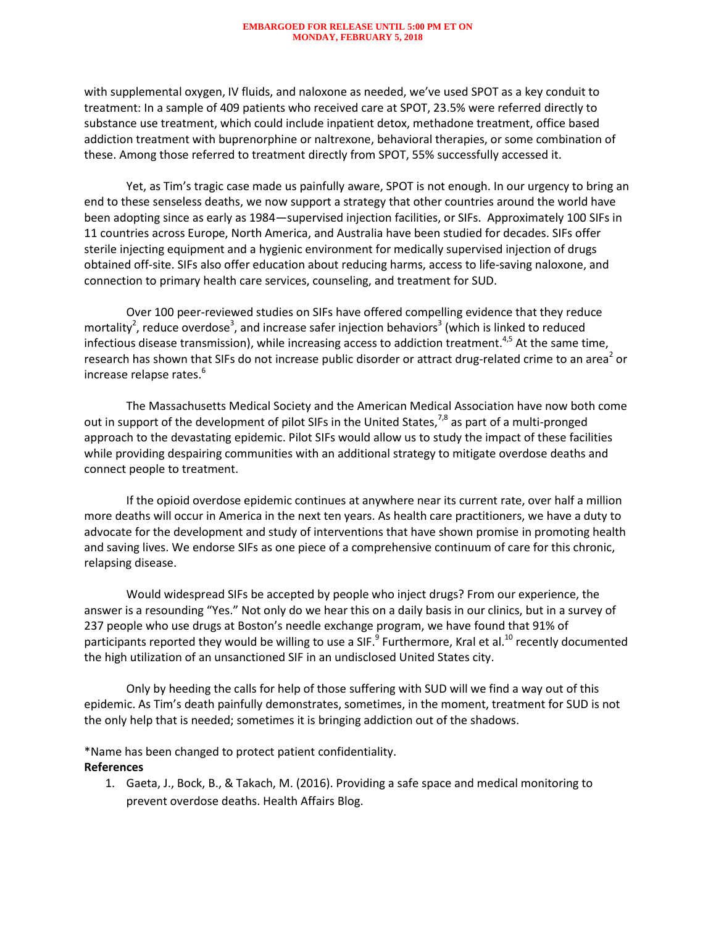## **EMBARGOED FOR RELEASE UNTIL 5:00 PM ET ON MONDAY, FEBRUARY 5, 2018**

with supplemental oxygen, IV fluids, and naloxone as needed, we've used SPOT as a key conduit to treatment: In a sample of 409 patients who received care at SPOT, 23.5% were referred directly to substance use treatment, which could include inpatient detox, methadone treatment, office based addiction treatment with buprenorphine or naltrexone, behavioral therapies, or some combination of these. Among those referred to treatment directly from SPOT, 55% successfully accessed it.

Yet, as Tim's tragic case made us painfully aware, SPOT is not enough. In our urgency to bring an end to these senseless deaths, we now support a strategy that other countries around the world have been adopting since as early as 1984—supervised injection facilities, or SIFs. Approximately 100 SIFs in 11 countries across Europe, North America, and Australia have been studied for decades. SIFs offer sterile injecting equipment and a hygienic environment for medically supervised injection of drugs obtained off-site. SIFs also offer education about reducing harms, access to life-saving naloxone, and connection to primary health care services, counseling, and treatment for SUD.

Over 100 peer-reviewed studies on SIFs have offered compelling evidence that they reduce mortality<sup>2</sup>, reduce overdose<sup>3</sup>, and increase safer injection behaviors<sup>3</sup> (which is linked to reduced infectious disease transmission), while increasing access to addiction treatment.<sup>4,5</sup> At the same time, research has shown that SIFs do not increase public disorder or attract drug-related crime to an area<sup>2</sup> or increase relapse rates. $^6$ 

The Massachusetts Medical Society and the American Medical Association have now both come out in support of the development of pilot SIFs in the United States,  $7,8$  as part of a multi-pronged approach to the devastating epidemic. Pilot SIFs would allow us to study the impact of these facilities while providing despairing communities with an additional strategy to mitigate overdose deaths and connect people to treatment.

If the opioid overdose epidemic continues at anywhere near its current rate, over half a million more deaths will occur in America in the next ten years. As health care practitioners, we have a duty to advocate for the development and study of interventions that have shown promise in promoting health and saving lives. We endorse SIFs as one piece of a comprehensive continuum of care for this chronic, relapsing disease.

Would widespread SIFs be accepted by people who inject drugs? From our experience, the answer is a resounding "Yes." Not only do we hear this on a daily basis in our clinics, but in a survey of 237 people who use drugs at Boston's needle exchange program, we have found that 91% of participants reported they would be willing to use a SIF.<sup>9</sup> Furthermore, Kral et al.<sup>10</sup> recently documented the high utilization of an unsanctioned SIF in an undisclosed United States city.

Only by heeding the calls for help of those suffering with SUD will we find a way out of this epidemic. As Tim's death painfully demonstrates, sometimes, in the moment, treatment for SUD is not the only help that is needed; sometimes it is bringing addiction out of the shadows.

\*Name has been changed to protect patient confidentiality.

## **References**

1. Gaeta, J., Bock, B., & Takach, M. (2016). Providing a safe space and medical monitoring to prevent overdose deaths. Health Affairs Blog.